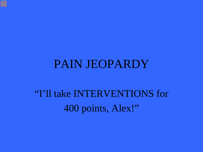#### PAIN JEOPARDY

"I'll take INTERVENTIONS for 400 points, Alex!"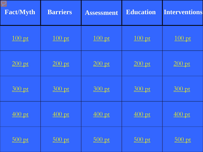<span id="page-1-0"></span>

| <b>Fact/Myth</b> | <b>Barriers</b> | <b>Assessment</b> | <b>Education</b> | <b>Interventions</b> |
|------------------|-----------------|-------------------|------------------|----------------------|
| $100$ pt         | $100$ pt        | $100$ pt          | $100$ pt         | $100$ pt             |
| $200$ pt         | $200$ pt        | $200$ pt          | $200$ pt         | $200$ pt             |
| $300$ pt         | $300$ pt        | $300$ pt          | $300$ pt         | $300$ pt             |
| $400$ pt         | $400$ pt        | $400$ pt          | $400$ pt         | $\overline{400}$ pt  |
| $500$ pt         | $500$ pt        | $500$ pt          | $500$ pt         | $500$ pt             |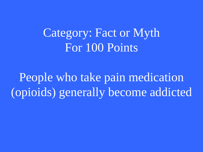#### <span id="page-2-0"></span>Category: Fact or Myth For 100 Points

People who take pain medication (opioids) generally become addicted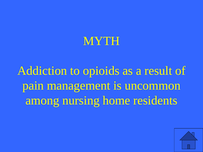

Addiction to opioids as a result of pain management is uncommon among nursing home residents

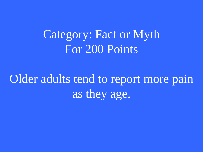#### <span id="page-4-0"></span>Category: Fact or Myth For 200 Points

Older adults tend to report more pain as they age.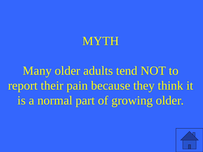

Many older adults tend NOT to report their pain because they think it is a normal part of growing older.

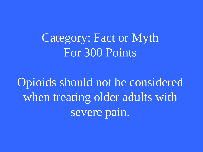<span id="page-6-0"></span>Category: Fact or Myth For 300 Points

Opioids should not be considered when treating older adults with severe pain.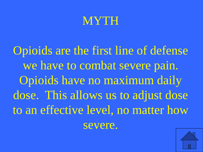

Opioids are the first line of defense we have to combat severe pain. Opioids have no maximum daily dose. This allows us to adjust dose to an effective level, no matter how severe.

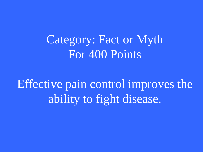<span id="page-8-0"></span>Category: Fact or Myth For 400 Points

Effective pain control improves the ability to fight disease.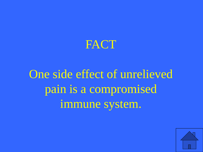

One side effect of unrelieved pain is a compromised immune system.

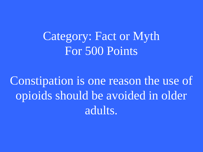## <span id="page-10-0"></span>Category: Fact or Myth For 500 Points

Constipation is one reason the use of opioids should be avoided in older adults.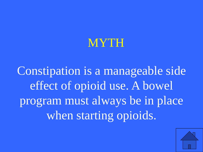#### MYTH

Constipation is a manageable side effect of opioid use. A bowel program must always be in place when starting opioids[.](#page-1-0)

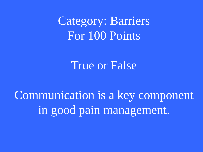<span id="page-12-0"></span>Category: Barriers For 100 Points

#### True or False

Communication is a key component in good pain management.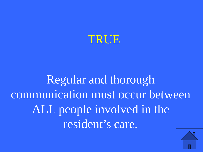

Regular and thorough communication must occur between ALL people involved in the resident's care.

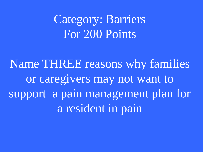<span id="page-14-0"></span>Category: Barriers For 200 Points

Name THREE reasons why families or caregivers may not want to support a pain management plan for a resident in pain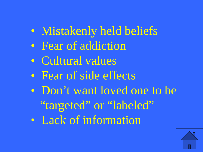- Mistakenly held beliefs
- Fear of addiction
- Cultural values
- Fear of side effects
- Don't want loved one to be "targeted" or "labeled"
- Lack of information

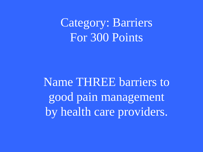<span id="page-16-0"></span>Category: Barriers For 300 Points

Name THREE barriers to good pain management by health care providers.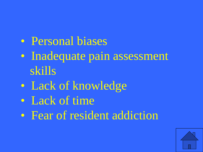- Personal biases
- Inadequate pain assessment skills
- Lack of knowledge
- Lack of time
- Fear of resident addictio[n](#page-1-0)

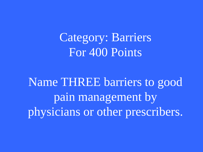## <span id="page-18-0"></span>Category: Barriers For 400 Points

Name THREE barriers to good pain management by physicians or other prescribers.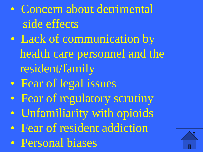• Concern about detrimental side effects

- Lack of communication by health care personnel and the resident/family
- Fear of legal issues
- Fear of regulatory scrutiny
- Unfamiliarity with opioids
- Fear of resident addiction
- Personal biases

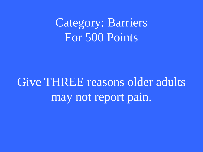<span id="page-20-0"></span>Category: Barriers For 500 Points

Give THREE reasons older adults may not report pain.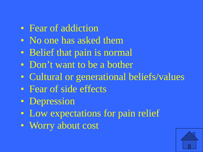- Fear of addiction
- No one has asked them
- Belief that pain is normal
- Don't want to be a bother
- Cultural or generational beliefs/values
- Fear of side effects
- Depression
- Low expectations for pain relief
- Worry about cost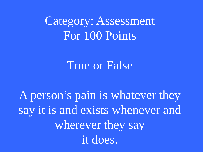<span id="page-22-0"></span>Category: Assessment For 100 Points

#### True or False

A person's pain is whatever they say it is and exists whenever and wherever they say it does.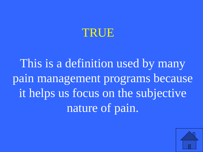

This is a definition used by many pain management programs because it helps us focus on the subjective nature of pain.

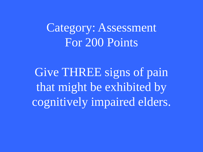## <span id="page-24-0"></span>Category: Assessment For 200 Points

Give THREE signs of pain that might be exhibited by cognitively impaired elders.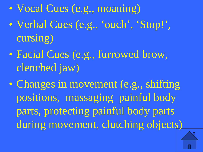- Vocal Cues (e.g., moaning)
- Verbal Cues (e.g., 'ouch', 'Stop!', cursing)
- Facial Cues (e.g., furrowed brow, clenched jaw)
- Changes in movement (e.g., shifting positions, massaging painful body parts, protecting painful body parts during movement, clutching o[bjects\)](#page-1-0)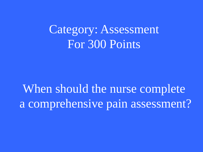<span id="page-26-0"></span>Category: Assessment For 300 Points

When should the nurse complete a comprehensive pain assessment?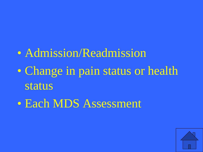# • Admission/Readmission

- Change in pain status or health status
- Each MDS Assessment

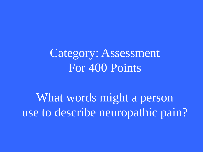# <span id="page-28-0"></span>Category: Assessment For 400 Points

What words might a person use to describe neuropathic pain?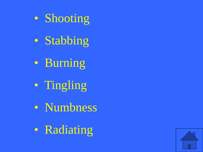- Shooting
- Stabbing
- Burning
- Tingling
- Numbness
- Radiating

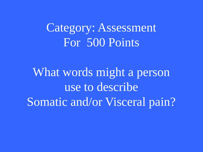## <span id="page-30-0"></span>Category: Assessment For 500 Points

What words might a person use to describe Somatic and/or Visceral pain?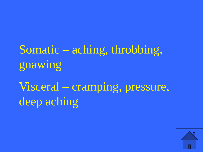# Somatic – aching, throbbing, gnawing

Visceral – cramping, pressure, deep aching

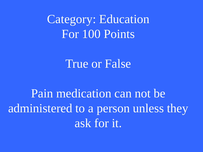<span id="page-32-0"></span>Category: Education For 100 Points

#### True or False

Pain medication can not be administered to a person unless they ask for it.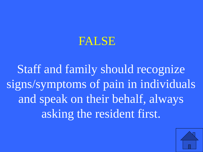

Staff and family should recognize signs/symptoms of pain in individuals and speak on their behalf, always asking the resident first.

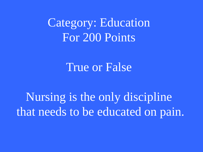<span id="page-34-0"></span>Category: Education For 200 Points

True or False

Nursing is the only discipline that needs to be educated on pain.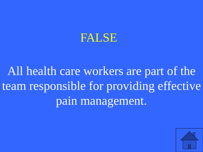

All health care workers are part of the team responsible for providing effective pain management.

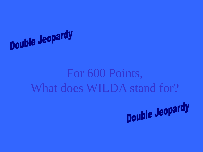<span id="page-36-0"></span>

## For 600 Points, What does WILDA stand for?

Double Jeopardy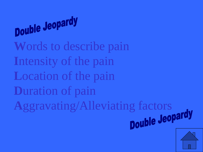Double Jeopardy **W**ords to describe pain **I**ntensity of the pain **L**ocation of the pain **D**uration of pain **A**ggravating/Alleviating factors

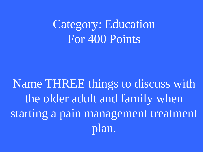<span id="page-38-0"></span>Category: Education For 400 Points

Name THREE things to discuss with the older adult and family when starting a pain management treatment plan.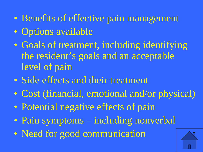- Benefits of effective pain management
- Options available
- Goals of treatment, including identifying the resident's goals and an acceptable level of pain
- Side effects and their treatment
- Cost (financial, emotional and/or physical)
- Potential negative effects of pain
- Pain symptoms including nonv[erbal](#page-1-0)
- Need for good communication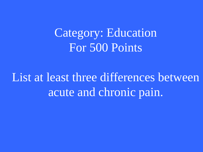#### <span id="page-40-0"></span>Category: Education For 500 Points

List at least three differences between acute and chronic pain.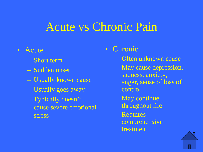#### Acute vs Chronic Pain

- Acute
	- Short term
	- Sudden onset
	- Usually known cause
	- Usually goes away
	- Typically doesn't cause severe emotional stress

#### • Chronic

- Often unknown cause
- May cause depression, sadness, anxiety, anger, sense of loss of control
- May continue throughout life
- Requires comprehens[ive](#page-1-0)  treatment

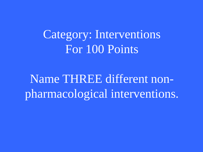## <span id="page-42-0"></span>Category: Interventions For 100 Points

Name THREE different nonpharmacological interventions.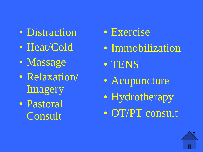• Distraction • Heat/Cold

- Massage
- Relaxation/ Imagery
- Pastoral **Consult**
- Exercise
- Immobilization
- TENS
- Acupuncture
- Hydrotherapy
- OT/PT consult

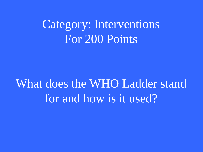## <span id="page-44-0"></span>Category: Interventions For 200 Points

## What does the WHO Ladder stand for and how is it used?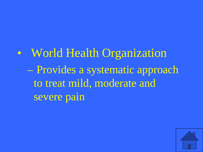• World Health Organization – Provides a systematic approach to treat mild, moderate and severe pain

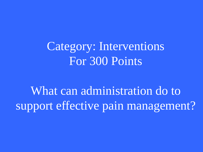## <span id="page-46-0"></span>Category: Interventions For 300 Points

What can administration do to support effective pain management?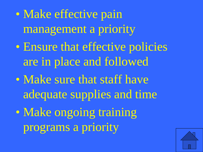• Make effective pain management a priority • Ensure that effective policies are in place and followed • Make sure that staff have adequate supplies and time · Make ongoing training programs a priority

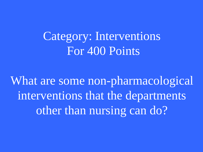## <span id="page-48-0"></span>Category: Interventions For 400 Points

What are some non-pharmacological interventions that the departments other than nursing can do?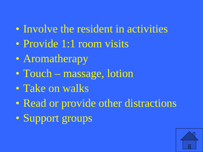- Involve the resident in activities
- Provide 1:1 room visits
- Aromatherapy
- Touch massage, lotion
- Take on walks
- Read or provide other distractions
- Support groups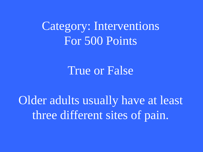#### <span id="page-50-0"></span>Category: Interventions For 500 Points

#### True or False

Older adults usually have at least three different sites of pain.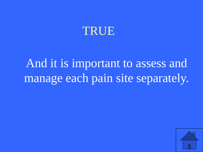#### TRUE

# And it is important to assess and manage each pain site separately.